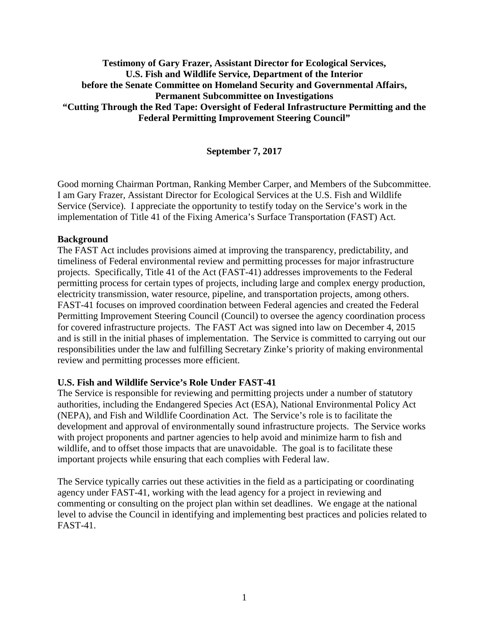# **Testimony of Gary Frazer, Assistant Director for Ecological Services, U.S. Fish and Wildlife Service, Department of the Interior before the Senate Committee on Homeland Security and Governmental Affairs, Permanent Subcommittee on Investigations "Cutting Through the Red Tape: Oversight of Federal Infrastructure Permitting and the Federal Permitting Improvement Steering Council"**

### **September 7, 2017**

Good morning Chairman Portman, Ranking Member Carper, and Members of the Subcommittee. I am Gary Frazer, Assistant Director for Ecological Services at the U.S. Fish and Wildlife Service (Service). I appreciate the opportunity to testify today on the Service's work in the implementation of Title 41 of the Fixing America's Surface Transportation (FAST) Act.

#### **Background**

The FAST Act includes provisions aimed at improving the transparency, predictability, and timeliness of Federal environmental review and permitting processes for major infrastructure projects. Specifically, Title 41 of the Act (FAST-41) addresses improvements to the Federal permitting process for certain types of projects, including large and complex energy production, electricity transmission, water resource, pipeline, and transportation projects, among others. FAST-41 focuses on improved coordination between Federal agencies and created the Federal Permitting Improvement Steering Council (Council) to oversee the agency coordination process for covered infrastructure projects. The FAST Act was signed into law on December 4, 2015 and is still in the initial phases of implementation. The Service is committed to carrying out our responsibilities under the law and fulfilling Secretary Zinke's priority of making environmental review and permitting processes more efficient.

### **U.S. Fish and Wildlife Service's Role Under FAST-41**

The Service is responsible for reviewing and permitting projects under a number of statutory authorities, including the Endangered Species Act (ESA), National Environmental Policy Act (NEPA), and Fish and Wildlife Coordination Act. The Service's role is to facilitate the development and approval of environmentally sound infrastructure projects. The Service works with project proponents and partner agencies to help avoid and minimize harm to fish and wildlife, and to offset those impacts that are unavoidable. The goal is to facilitate these important projects while ensuring that each complies with Federal law.

The Service typically carries out these activities in the field as a participating or coordinating agency under FAST-41, working with the lead agency for a project in reviewing and commenting or consulting on the project plan within set deadlines. We engage at the national level to advise the Council in identifying and implementing best practices and policies related to FAST-41.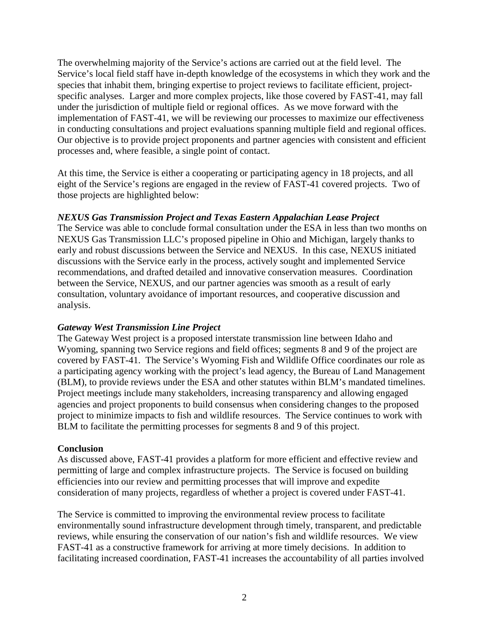The overwhelming majority of the Service's actions are carried out at the field level. The Service's local field staff have in-depth knowledge of the ecosystems in which they work and the species that inhabit them, bringing expertise to project reviews to facilitate efficient, projectspecific analyses. Larger and more complex projects, like those covered by FAST-41, may fall under the jurisdiction of multiple field or regional offices. As we move forward with the implementation of FAST-41, we will be reviewing our processes to maximize our effectiveness in conducting consultations and project evaluations spanning multiple field and regional offices. Our objective is to provide project proponents and partner agencies with consistent and efficient processes and, where feasible, a single point of contact.

At this time, the Service is either a cooperating or participating agency in 18 projects, and all eight of the Service's regions are engaged in the review of FAST-41 covered projects. Two of those projects are highlighted below:

# *NEXUS Gas Transmission Project and Texas Eastern Appalachian Lease Project*

The Service was able to conclude formal consultation under the ESA in less than two months on NEXUS Gas Transmission LLC's proposed pipeline in Ohio and Michigan, largely thanks to early and robust discussions between the Service and NEXUS. In this case, NEXUS initiated discussions with the Service early in the process, actively sought and implemented Service recommendations, and drafted detailed and innovative conservation measures. Coordination between the Service, NEXUS, and our partner agencies was smooth as a result of early consultation, voluntary avoidance of important resources, and cooperative discussion and analysis.

# *Gateway West Transmission Line Project*

The Gateway West project is a proposed interstate transmission line between Idaho and Wyoming, spanning two Service regions and field offices; segments 8 and 9 of the project are covered by FAST-41. The Service's Wyoming Fish and Wildlife Office coordinates our role as a participating agency working with the project's lead agency, the Bureau of Land Management (BLM), to provide reviews under the ESA and other statutes within BLM's mandated timelines. Project meetings include many stakeholders, increasing transparency and allowing engaged agencies and project proponents to build consensus when considering changes to the proposed project to minimize impacts to fish and wildlife resources. The Service continues to work with BLM to facilitate the permitting processes for segments 8 and 9 of this project.

# **Conclusion**

As discussed above, FAST-41 provides a platform for more efficient and effective review and permitting of large and complex infrastructure projects. The Service is focused on building efficiencies into our review and permitting processes that will improve and expedite consideration of many projects, regardless of whether a project is covered under FAST-41.

The Service is committed to improving the environmental review process to facilitate environmentally sound infrastructure development through timely, transparent, and predictable reviews, while ensuring the conservation of our nation's fish and wildlife resources. We view FAST-41 as a constructive framework for arriving at more timely decisions. In addition to facilitating increased coordination, FAST-41 increases the accountability of all parties involved